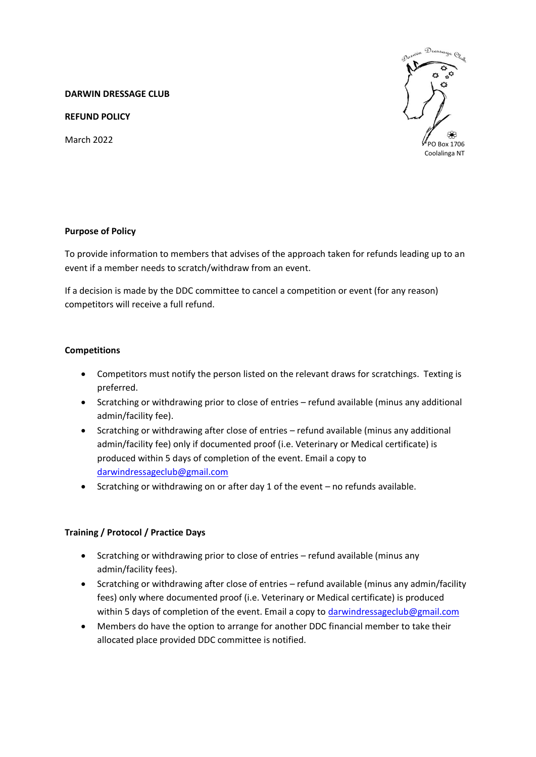#### **DARWIN DRESSAGE CLUB**

**REFUND POLICY**

March 2022



# **Purpose of Policy**

To provide information to members that advises of the approach taken for refunds leading up to an event if a member needs to scratch/withdraw from an event.

If a decision is made by the DDC committee to cancel a competition or event (for any reason) competitors will receive a full refund.

### **Competitions**

- Competitors must notify the person listed on the relevant draws for scratchings. Texting is preferred.
- Scratching or withdrawing prior to close of entries refund available (minus any additional admin/facility fee).
- Scratching or withdrawing after close of entries refund available (minus any additional admin/facility fee) only if documented proof (i.e. Veterinary or Medical certificate) is produced within 5 days of completion of the event. Email a copy to [darwindressageclub@gmail.com](mailto:darwindressageclub@gmail.com)
- Scratching or withdrawing on or after day 1 of the event no refunds available.

## **Training / Protocol / Practice Days**

- Scratching or withdrawing prior to close of entries refund available (minus any admin/facility fees).
- Scratching or withdrawing after close of entries refund available (minus any admin/facility fees) only where documented proof (i.e. Veterinary or Medical certificate) is produced within 5 days of completion of the event. Email a copy to [darwindressageclub@gmail.com](mailto:darwindressageclub@gmail.com)
- Members do have the option to arrange for another DDC financial member to take their allocated place provided DDC committee is notified.